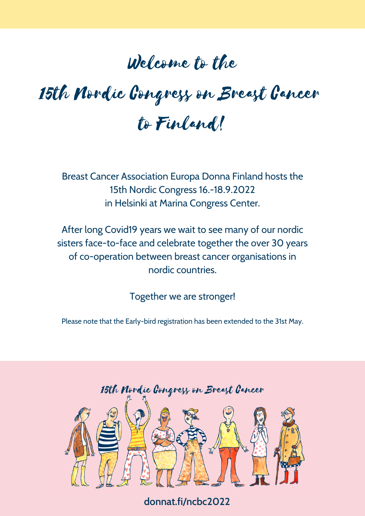## Welcome to the

# 15th Nordic Congress on Breast Cancer to Finland!

Breast Cancer Association Europa Donna Finland hosts the 15th Nordic Congress 16.-18.9.2022 in Helsinki at Marina Congress Center.

After long Covid19 years we wait to see many of our nordic sisters face-to-face and celebrate together the over 30 years of co-operation between breast cancer organisations in nordic countries.

Together we are stronger!

Please note that the Early-bird registration has been extended to the 31st May.



**donnat.fi/ncbc2022**